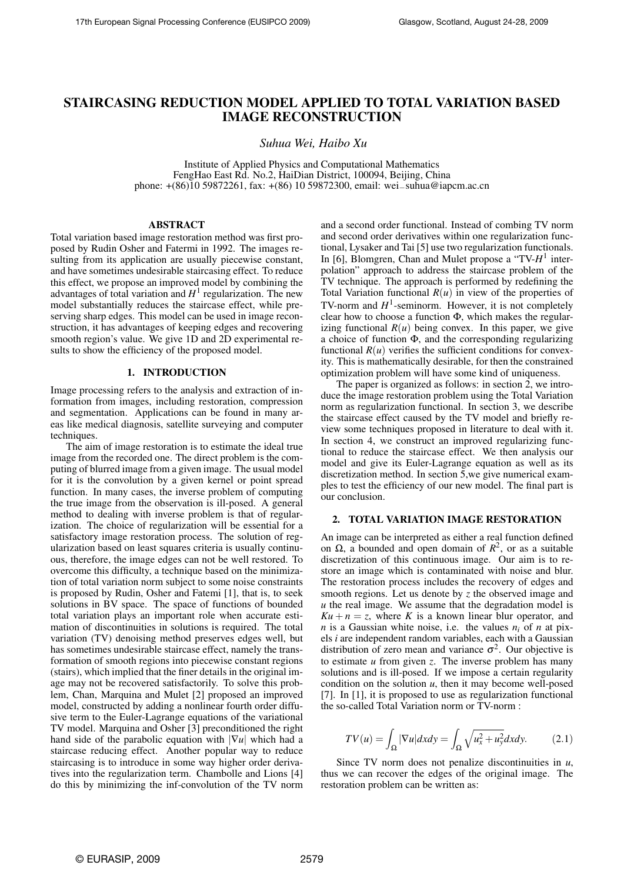# STAIRCASING REDUCTION MODEL APPLIED TO TOTAL VARIATION BASED IMAGE RECONSTRUCTION

*Suhua Wei, Haibo Xu*

Institute of Applied Physics and Computational Mathematics FengHao East Rd. No.2, HaiDian District, 100094, Beijing, China phone: +(86)10 59872261, fax: +(86) 10 59872300, email: wei−suhua@iapcm.ac.cn

### ABSTRACT

Total variation based image restoration method was first proposed by Rudin Osher and Fatermi in 1992. The images resulting from its application are usually piecewise constant, and have sometimes undesirable staircasing effect. To reduce this effect, we propose an improved model by combining the advantages of total variation and  $H<sup>1</sup>$  regularization. The new model substantially reduces the staircase effect, while preserving sharp edges. This model can be used in image reconstruction, it has advantages of keeping edges and recovering smooth region's value. We give 1D and 2D experimental results to show the efficiency of the proposed model.

## 1. INTRODUCTION

Image processing refers to the analysis and extraction of information from images, including restoration, compression and segmentation. Applications can be found in many areas like medical diagnosis, satellite surveying and computer techniques.

The aim of image restoration is to estimate the ideal true image from the recorded one. The direct problem is the computing of blurred image from a given image. The usual model for it is the convolution by a given kernel or point spread function. In many cases, the inverse problem of computing the true image from the observation is ill-posed. A general method to dealing with inverse problem is that of regularization. The choice of regularization will be essential for a satisfactory image restoration process. The solution of regularization based on least squares criteria is usually continuous, therefore, the image edges can not be well restored. To overcome this difficulty, a technique based on the minimization of total variation norm subject to some noise constraints is proposed by Rudin, Osher and Fatemi [1], that is, to seek solutions in BV space. The space of functions of bounded total variation plays an important role when accurate estimation of discontinuities in solutions is required. The total variation (TV) denoising method preserves edges well, but has sometimes undesirable staircase effect, namely the transformation of smooth regions into piecewise constant regions (stairs), which implied that the finer details in the original image may not be recovered satisfactorily. To solve this problem, Chan, Marquina and Mulet [2] proposed an improved model, constructed by adding a nonlinear fourth order diffusive term to the Euler-Lagrange equations of the variational TV model. Marquina and Osher [3] preconditioned the right hand side of the parabolic equation with  $|\nabla u|$  which had a staircase reducing effect. Another popular way to reduce staircasing is to introduce in some way higher order derivatives into the regularization term. Chambolle and Lions [4] do this by minimizing the inf-convolution of the TV norm

and a second order functional. Instead of combing TV norm and second order derivatives within one regularization functional, Lysaker and Tai [5] use two regularization functionals. In [6], Blomgren, Chan and Mulet propose a "TV- $H^1$  interpolation" approach to address the staircase problem of the TV technique. The approach is performed by redefining the Total Variation functional  $R(u)$  in view of the properties of TV-norm and  $H^1$ -seminorm. However, it is not completely clear how to choose a function  $\Phi$ , which makes the regularizing functional  $R(u)$  being convex. In this paper, we give a choice of function Φ, and the corresponding regularizing functional  $R(u)$  verifies the sufficient conditions for convexity. This is mathematically desirable, for then the constrained optimization problem will have some kind of uniqueness.

The paper is organized as follows: in section 2, we introduce the image restoration problem using the Total Variation norm as regularization functional. In section 3, we describe the staircase effect caused by the TV model and briefly review some techniques proposed in literature to deal with it. In section 4, we construct an improved regularizing functional to reduce the staircase effect. We then analysis our model and give its Euler-Lagrange equation as well as its discretization method. In section 5,we give numerical examples to test the efficiency of our new model. The final part is our conclusion.

## 2. TOTAL VARIATION IMAGE RESTORATION

An image can be interpreted as either a real function defined on  $\Omega$ , a bounded and open domain of  $R^2$ , or as a suitable discretization of this continuous image. Our aim is to restore an image which is contaminated with noise and blur. The restoration process includes the recovery of edges and smooth regions. Let us denote by *z* the observed image and *u* the real image. We assume that the degradation model is  $Ku + n = z$ , where *K* is a known linear blur operator, and *n* is a Gaussian white noise, i.e. the values  $n_i$  of *n* at pixels *i* are independent random variables, each with a Gaussian distribution of zero mean and variance  $\sigma^2$ . Our objective is to estimate *u* from given *z*. The inverse problem has many solutions and is ill-posed. If we impose a certain regularity condition on the solution *u*, then it may become well-posed [7]. In [1], it is proposed to use as regularization functional the so-called Total Variation norm or TV-norm :

$$
TV(u) = \int_{\Omega} |\nabla u| dxdy = \int_{\Omega} \sqrt{u_x^2 + u_y^2} dxdy.
$$
 (2.1)

Since TV norm does not penalize discontinuities in *u*, thus we can recover the edges of the original image. The restoration problem can be written as: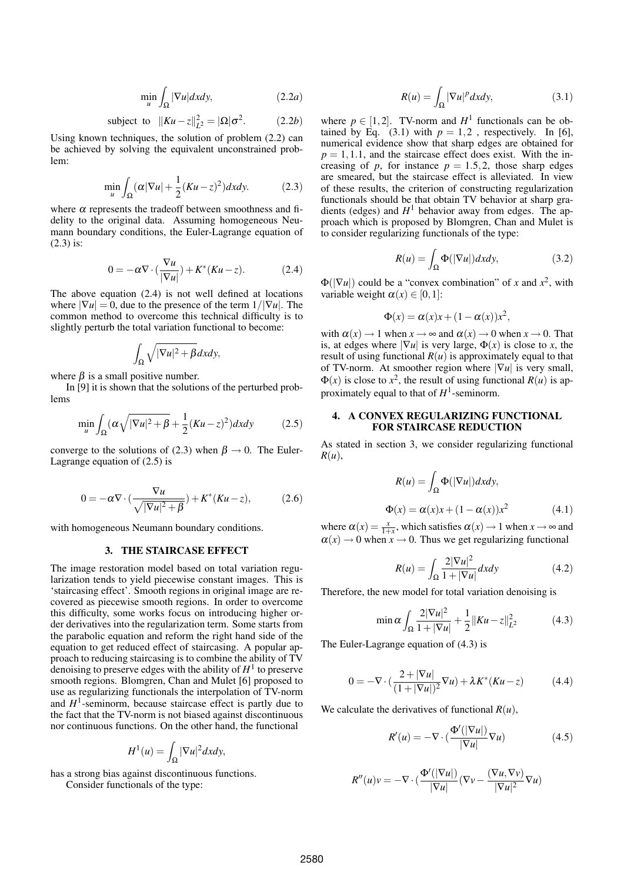$$
\min_{u} \int_{\Omega} |\nabla u| dxdy,\tag{2.2a}
$$

subject to  $\|Ku - z\|_{L^2}^2 = |\Omega| \sigma^2$  $(2.2b)$ 

Using known techniques, the solution of problem (2.2) can be achieved by solving the equivalent unconstrained problem:

$$
\min_{u} \int_{\Omega} (\alpha |\nabla u| + \frac{1}{2} (Ku - z)^2) dx dy.
$$
 (2.3)

where  $\alpha$  represents the tradeoff between smoothness and fidelity to the original data. Assuming homogeneous Neumann boundary conditions, the Euler-Lagrange equation of (2.3) is:

$$
0 = -\alpha \nabla \cdot \left(\frac{\nabla u}{|\nabla u|}\right) + K^*(Ku - z). \tag{2.4}
$$

The above equation (2.4) is not well defined at locations where  $|\nabla u| = 0$ , due to the presence of the term  $1/|\nabla u|$ . The common method to overcome this technical difficulty is to slightly perturb the total variation functional to become:

$$
\int_{\Omega} \sqrt{|\nabla u|^2 + \beta} dx dy,
$$

where  $\beta$  is a small positive number.

In [9] it is shown that the solutions of the perturbed problems

$$
\min_{u} \int_{\Omega} (\alpha \sqrt{|\nabla u|^2 + \beta} + \frac{1}{2} (Ku - z)^2) dx dy \tag{2.5}
$$

converge to the solutions of (2.3) when  $\beta \rightarrow 0$ . The Euler-Lagrange equation of (2.5) is

$$
0 = -\alpha \nabla \cdot \left(\frac{\nabla u}{\sqrt{|\nabla u|^2 + \beta}}\right) + K^*(Ku - z),\tag{2.6}
$$

with homogeneous Neumann boundary conditions.

#### 3. THE STAIRCASE EFFECT

The image restoration model based on total variation regularization tends to yield piecewise constant images. This is 'staircasing effect'. Smooth regions in original image are recovered as piecewise smooth regions. In order to overcome this difficulty, some works focus on introducing higher order derivatives into the regularization term. Some starts from the parabolic equation and reform the right hand side of the equation to get reduced effect of staircasing. A popular approach to reducing staircasing is to combine the ability of TV denoising to preserve edges with the ability of  $H^1$  to preserve smooth regions. Blomgren, Chan and Mulet [6] proposed to use as regularizing functionals the interpolation of TV-norm and  $H^1$ -seminorm, because staircase effect is partly due to the fact that the TV-norm is not biased against discontinuous nor continuous functions. On the other hand, the functional

$$
H^{1}(u) = \int_{\Omega} |\nabla u|^{2} dxdy,
$$

has a strong bias against discontinuous functions. Consider functionals of the type:

 $R(u) = \int_{\Omega} |\nabla u|^p dxdy,$  (3.1)

where  $p \in [1,2]$ . TV-norm and  $H^1$  functionals can be obtained by Eq.  $(3.1)$  with  $p = 1, 2$ , respectively. In [6], numerical evidence show that sharp edges are obtained for  $p = 1, 1.1$ , and the staircase effect does exist. With the increasing of *p*, for instance  $p = 1.5, 2$ , those sharp edges are smeared, but the staircase effect is alleviated. In view of these results, the criterion of constructing regularization functionals should be that obtain TV behavior at sharp gradients (edges) and  $H^1$  behavior away from edges. The approach which is proposed by Blomgren, Chan and Mulet is to consider regularizing functionals of the type:

$$
R(u) = \int_{\Omega} \Phi(|\nabla u|) dxdy,
$$
 (3.2)

 $\Phi(|\nabla u|)$  could be a "convex combination" of *x* and  $x^2$ , with variable weight  $\alpha(x) \in [0,1]$ :

$$
\Phi(x) = \alpha(x)x + (1 - \alpha(x))x^2,
$$

with  $\alpha(x) \to 1$  when  $x \to \infty$  and  $\alpha(x) \to 0$  when  $x \to 0$ . That is, at edges where  $|\nabla u|$  is very large,  $\Phi(x)$  is close to *x*, the result of using functional  $R(u)$  is approximately equal to that of TV-norm. At smoother region where |∇*u*| is very small,  $\Phi(x)$  is close to  $x^2$ , the result of using functional  $R(u)$  is approximately equal to that of  $H^1$ -seminorm.

#### 4. A CONVEX REGULARIZING FUNCTIONAL FOR STAIRCASE REDUCTION

As stated in section 3, we consider regularizing functional *R*(*u*),

$$
R(u) = \int_{\Omega} \Phi(|\nabla u|) dxdy,
$$
  

$$
\Phi(x) = \alpha(x)x + (1 - \alpha(x))x^2
$$
 (4.1)

where  $\alpha(x) = \frac{x}{1+x}$ , which satisfies  $\alpha(x) \rightarrow 1$  when  $x \rightarrow \infty$  and  $\alpha(x) \rightarrow 0$  when  $x \rightarrow 0$ . Thus we get regularizing functional

$$
R(u) = \int_{\Omega} \frac{2|\nabla u|^2}{1 + |\nabla u|} dx dy
$$
 (4.2)

Therefore, the new model for total variation denoising is

$$
\min \alpha \int_{\Omega} \frac{2|\nabla u|^2}{1+|\nabla u|} + \frac{1}{2} \|Ku - z\|_{L^2}^2 \tag{4.3}
$$

The Euler-Lagrange equation of (4.3) is

$$
0 = -\nabla \cdot \left(\frac{2 + |\nabla u|}{(1 + |\nabla u|)^2} \nabla u\right) + \lambda K^*(Ku - z) \tag{4.4}
$$

We calculate the derivatives of functional *R*(*u*),

$$
R'(u) = -\nabla \cdot \left(\frac{\Phi'(|\nabla u|)}{|\nabla u|}\nabla u\right) \tag{4.5}
$$

$$
R''(u)v = -\nabla \cdot \left(\frac{\Phi'(|\nabla u|)}{|\nabla u|}(\nabla v - \frac{(\nabla u, \nabla v)}{|\nabla u|^2}\nabla u\right)
$$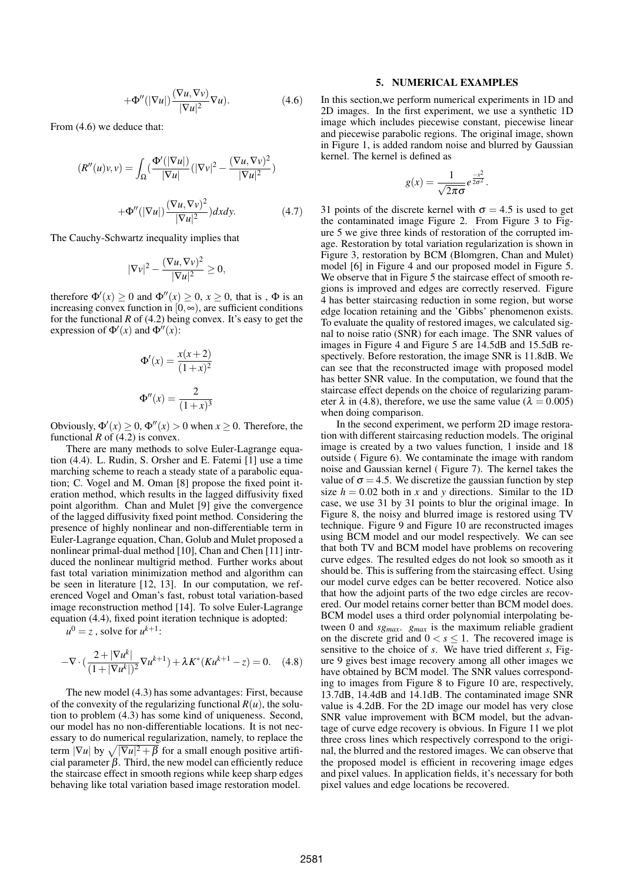$$
+\Phi''(|\nabla u|)\frac{(\nabla u,\nabla v)}{|\nabla u|^2}\nabla u).
$$
\n(4.6)

From (4.6) we deduce that:

$$
(R''(u)v,v) = \int_{\Omega} \left(\frac{\Phi'(|\nabla u|)}{|\nabla u|}(|\nabla v|^2 - \frac{(\nabla u, \nabla v)^2}{|\nabla u|^2}\right)
$$

$$
+ \Phi''(|\nabla u|) \frac{(\nabla u, \nabla v)^2}{|\nabla u|^2}\right) dxdy.
$$
(4.7)

The Cauchy-Schwartz inequality implies that

$$
|\nabla v|^2 - \frac{(\nabla u, \nabla v)^2}{|\nabla u|^2} \ge 0,
$$

therefore  $\Phi'(x) \ge 0$  and  $\Phi''(x) \ge 0$ ,  $x \ge 0$ , that is,  $\Phi$  is an increasing convex function in  $[0, \infty)$ , are sufficient conditions for the functional  $R$  of (4.2) being convex. It's easy to get the expression of  $\Phi'(x)$  and  $\Phi''(x)$ :

$$
\Phi'(x) = \frac{x(x+2)}{(1+x)^2}
$$

$$
\Phi''(x) = \frac{2}{(1+x)^3}
$$

Obviously,  $\Phi'(x) \ge 0$ ,  $\Phi''(x) > 0$  when  $x \ge 0$ . Therefore, the functional  $R$  of (4.2) is convex.

There are many methods to solve Euler-Lagrange equation (4.4). L. Rudin, S. Orsher and E. Fatemi [1] use a time marching scheme to reach a steady state of a parabolic equation; C. Vogel and M. Oman [8] propose the fixed point iteration method, which results in the lagged diffusivity fixed point algorithm. Chan and Mulet [9] give the convergence of the lagged diffusivity fixed point method. Considering the presence of highly nonlinear and non-differentiable term in Euler-Lagrange equation, Chan, Golub and Mulet proposed a nonlinear primal-dual method [10], Chan and Chen [11] intrduced the nonlinear multigrid method. Further works about fast total variation minimization method and algorithm can be seen in literature [12, 13]. In our computation, we referenced Vogel and Oman's fast, robust total variation-based image reconstruction method [14]. To solve Euler-Lagrange equation (4.4), fixed point iteration technique is adopted:

 $u^0 = z$ , solve for  $u^{k+1}$ :

$$
-\nabla \cdot \left(\frac{2+|\nabla u^k|}{(1+|\nabla u^k|)^2}\nabla u^{k+1}\right) + \lambda K^*(K u^{k+1} - z) = 0. \quad (4.8)
$$

The new model (4.3) has some advantages: First, because of the convexity of the regularizing functional  $R(u)$ , the solution to problem (4.3) has some kind of uniqueness. Second, our model has no non-differentiable locations. It is not necessary to do numerical regularization, namely, to replace the essary to ao numerical regularization, namely, to replace the<br>term  $|\nabla u|$  by  $\sqrt{|\nabla u|^2 + \beta}$  for a small enough positive artificial parameter  $\beta$ . Third, the new model can efficiently reduce the staircase effect in smooth regions while keep sharp edges behaving like total variation based image restoration model.

## 5. NUMERICAL EXAMPLES

In this section,we perform numerical experiments in 1D and 2D images. In the first experiment, we use a synthetic 1D image which includes piecewise constant, piecewise linear and piecewise parabolic regions. The original image, shown in Figure 1, is added random noise and blurred by Gaussian kernel. The kernel is defined as

$$
g(x) = \frac{1}{\sqrt{2\pi}\sigma}e^{\frac{-x^2}{2\sigma^2}}.
$$

31 points of the discrete kernel with  $\sigma = 4.5$  is used to get the contaminated image Figure 2. From Figure 3 to Figure 5 we give three kinds of restoration of the corrupted image. Restoration by total variation regularization is shown in Figure 3, restoration by BCM (Blomgren, Chan and Mulet) model [6] in Figure 4 and our proposed model in Figure 5. We observe that in Figure 5 the staircase effect of smooth regions is improved and edges are correctly reserved. Figure 4 has better staircasing reduction in some region, but worse edge location retaining and the 'Gibbs' phenomenon exists. To evaluate the quality of restored images, we calculated signal to noise ratio (SNR) for each image. The SNR values of images in Figure 4 and Figure 5 are 14.5dB and 15.5dB respectively. Before restoration, the image SNR is 11.8dB. We can see that the reconstructed image with proposed model has better SNR value. In the computation, we found that the staircase effect depends on the choice of regularizing parameter  $\lambda$  in (4.8), therefore, we use the same value ( $\lambda = 0.005$ ) when doing comparison.

In the second experiment, we perform 2D image restoration with different staircasing reduction models. The original image is created by a two values function, 1 inside and 18 outside ( Figure 6). We contaminate the image with random noise and Gaussian kernel ( Figure 7). The kernel takes the value of  $\sigma = 4.5$ . We discretize the gaussian function by step size  $h = 0.02$  both in *x* and *y* directions. Similar to the 1D case, we use 31 by 31 points to blur the original image. In Figure 8, the noisy and blurred image is restored using TV technique. Figure 9 and Figure 10 are reconstructed images using BCM model and our model respectively. We can see that both TV and BCM model have problems on recovering curve edges. The resulted edges do not look so smooth as it should be. This is suffering from the staircasing effect. Using our model curve edges can be better recovered. Notice also that how the adjoint parts of the two edge circles are recovered. Our model retains corner better than BCM model does. BCM model uses a third order polynomial interpolating between 0 and *sgmax*. *gmax* is the maximum reliable gradient on the discrete grid and  $0 < s \leq 1$ . The recovered image is sensitive to the choice of *s*. We have tried different *s*, Figure 9 gives best image recovery among all other images we have obtained by BCM model. The SNR values corresponding to images from Figure 8 to Figure 10 are, respectively, 13.7dB, 14.4dB and 14.1dB. The contaminated image SNR value is 4.2dB. For the 2D image our model has very close SNR value improvement with BCM model, but the advantage of curve edge recovery is obvious. In Figure 11 we plot three cross lines which respectively correspond to the original, the blurred and the restored images. We can observe that the proposed model is efficient in recovering image edges and pixel values. In application fields, it's necessary for both pixel values and edge locations be recovered.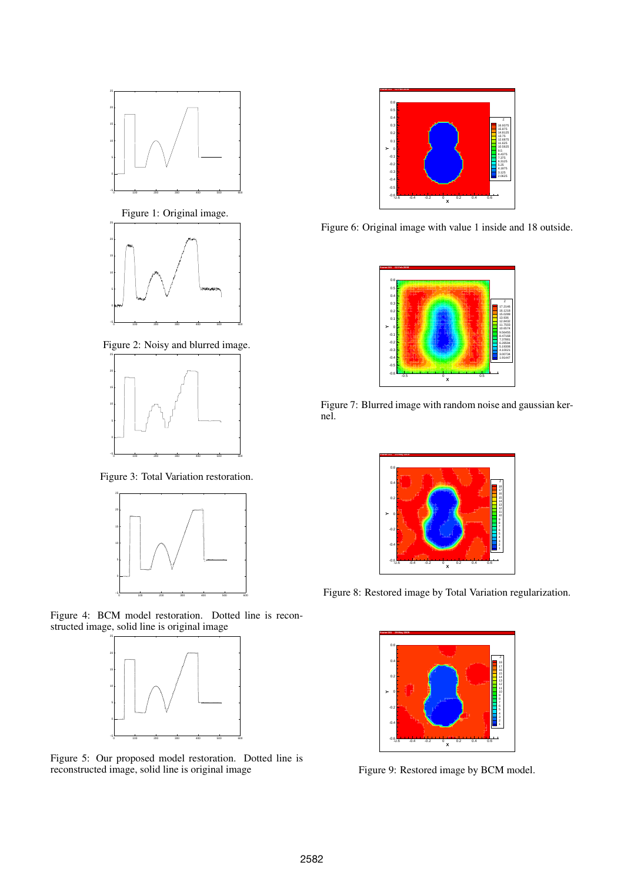





Figure 2: Noisy and blurred image.



Figure 3: Total Variation restoration.



Figure 4: BCM model restoration. Dotted line is reconstructed image, solid line is original image



Figure 5: Our proposed model restoration. Dotted line is reconstructed image, solid line is original image



Figure 6: Original image with value 1 inside and 18 outside.



Figure 7: Blurred image with random noise and gaussian kernel.



Figure 8: Restored image by Total Variation regularization.



Figure 9: Restored image by BCM model.